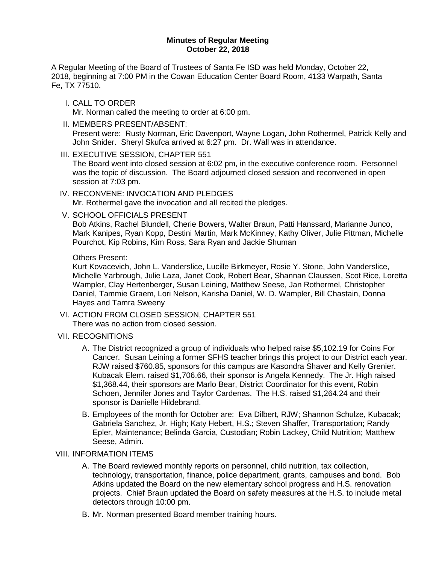#### **Minutes of Regular Meeting October 22, 2018**

A Regular Meeting of the Board of Trustees of Santa Fe ISD was held Monday, October 22, 2018, beginning at 7:00 PM in the Cowan Education Center Board Room, 4133 Warpath, Santa Fe, TX 77510.

- I. CALL TO ORDER Mr. Norman called the meeting to order at 6:00 pm.
- II. MEMBERS PRESENT/ABSENT: Present were: Rusty Norman, Eric Davenport, Wayne Logan, John Rothermel, Patrick Kelly and John Snider. Sheryl Skufca arrived at 6:27 pm. Dr. Wall was in attendance.
- III. EXECUTIVE SESSION, CHAPTER 551

The Board went into closed session at 6:02 pm, in the executive conference room. Personnel was the topic of discussion. The Board adjourned closed session and reconvened in open session at 7:03 pm.

- IV. RECONVENE: INVOCATION AND PLEDGES Mr. Rothermel gave the invocation and all recited the pledges.
- V. SCHOOL OFFICIALS PRESENT

Bob Atkins, Rachel Blundell, Cherie Bowers, Walter Braun, Patti Hanssard, Marianne Junco, Mark Kanipes, Ryan Kopp, Destini Martin, Mark McKinney, Kathy Oliver, Julie Pittman, Michelle Pourchot, Kip Robins, Kim Ross, Sara Ryan and Jackie Shuman

### Others Present:

Kurt Kovacevich, John L. Vanderslice, Lucille Birkmeyer, Rosie Y. Stone, John Vanderslice, Michelle Yarbrough, Julie Laza, Janet Cook, Robert Bear, Shannan Claussen, Scot Rice, Loretta Wampler, Clay Hertenberger, Susan Leining, Matthew Seese, Jan Rothermel, Christopher Daniel, Tammie Graem, Lori Nelson, Karisha Daniel, W. D. Wampler, Bill Chastain, Donna Hayes and Tamra Sweeny

- VI. ACTION FROM CLOSED SESSION, CHAPTER 551 There was no action from closed session.
- VII. RECOGNITIONS
	- A. The District recognized a group of individuals who helped raise \$5,102.19 for Coins For Cancer. Susan Leining a former SFHS teacher brings this project to our District each year. RJW raised \$760.85, sponsors for this campus are Kasondra Shaver and Kelly Grenier. Kubacak Elem. raised \$1,706.66, their sponsor is Angela Kennedy. The Jr. High raised \$1,368.44, their sponsors are Marlo Bear, District Coordinator for this event, Robin Schoen, Jennifer Jones and Taylor Cardenas. The H.S. raised \$1,264.24 and their sponsor is Danielle Hildebrand.
	- B. Employees of the month for October are: Eva Dilbert, RJW; Shannon Schulze, Kubacak; Gabriela Sanchez, Jr. High; Katy Hebert, H.S.; Steven Shaffer, Transportation; Randy Epler, Maintenance; Belinda Garcia, Custodian; Robin Lackey, Child Nutrition; Matthew Seese, Admin.

# VIII. INFORMATION ITEMS

- A. The Board reviewed monthly reports on personnel, child nutrition, tax collection, technology, transportation, finance, police department, grants, campuses and bond. Bob Atkins updated the Board on the new elementary school progress and H.S. renovation projects. Chief Braun updated the Board on safety measures at the H.S. to include metal detectors through 10:00 pm.
- B. Mr. Norman presented Board member training hours.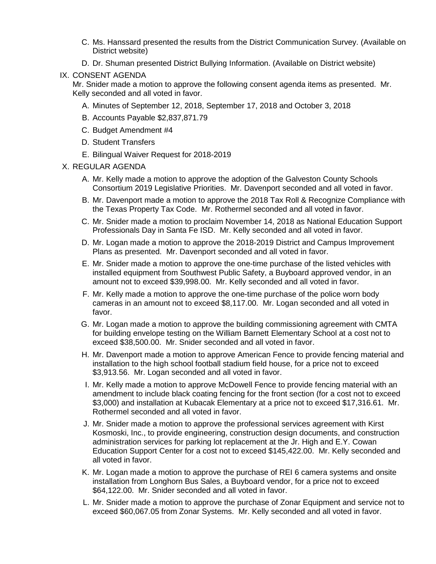- C. Ms. Hanssard presented the results from the District Communication Survey. (Available on District website)
- D. Dr. Shuman presented District Bullying Information. (Available on District website)
- IX. CONSENT AGENDA

Mr. Snider made a motion to approve the following consent agenda items as presented. Mr. Kelly seconded and all voted in favor.

- A. Minutes of September 12, 2018, September 17, 2018 and October 3, 2018
- B. Accounts Payable \$2,837,871.79
- C. Budget Amendment #4
- D. Student Transfers
- E. Bilingual Waiver Request for 2018-2019
- X. REGULAR AGENDA
	- A. Mr. Kelly made a motion to approve the adoption of the Galveston County Schools Consortium 2019 Legislative Priorities. Mr. Davenport seconded and all voted in favor.
	- B. Mr. Davenport made a motion to approve the 2018 Tax Roll & Recognize Compliance with the Texas Property Tax Code. Mr. Rothermel seconded and all voted in favor.
	- C. Mr. Snider made a motion to proclaim November 14, 2018 as National Education Support Professionals Day in Santa Fe ISD. Mr. Kelly seconded and all voted in favor.
	- D. Mr. Logan made a motion to approve the 2018-2019 District and Campus Improvement Plans as presented. Mr. Davenport seconded and all voted in favor.
	- E. Mr. Snider made a motion to approve the one-time purchase of the listed vehicles with installed equipment from Southwest Public Safety, a Buyboard approved vendor, in an amount not to exceed \$39,998.00. Mr. Kelly seconded and all voted in favor.
	- F. Mr. Kelly made a motion to approve the one-time purchase of the police worn body cameras in an amount not to exceed \$8,117.00. Mr. Logan seconded and all voted in favor.
	- G. Mr. Logan made a motion to approve the building commissioning agreement with CMTA for building envelope testing on the William Barnett Elementary School at a cost not to exceed \$38,500.00. Mr. Snider seconded and all voted in favor.
	- H. Mr. Davenport made a motion to approve American Fence to provide fencing material and installation to the high school football stadium field house, for a price not to exceed \$3,913.56. Mr. Logan seconded and all voted in favor.
	- I. Mr. Kelly made a motion to approve McDowell Fence to provide fencing material with an amendment to include black coating fencing for the front section (for a cost not to exceed \$3,000) and installation at Kubacak Elementary at a price not to exceed \$17,316.61. Mr. Rothermel seconded and all voted in favor.
	- J. Mr. Snider made a motion to approve the professional services agreement with Kirst Kosmoski, Inc., to provide engineering, construction design documents, and construction administration services for parking lot replacement at the Jr. High and E.Y. Cowan Education Support Center for a cost not to exceed \$145,422.00. Mr. Kelly seconded and all voted in favor.
	- K. Mr. Logan made a motion to approve the purchase of REI 6 camera systems and onsite installation from Longhorn Bus Sales, a Buyboard vendor, for a price not to exceed \$64,122.00. Mr. Snider seconded and all voted in favor.
	- L. Mr. Snider made a motion to approve the purchase of Zonar Equipment and service not to exceed \$60,067.05 from Zonar Systems. Mr. Kelly seconded and all voted in favor.